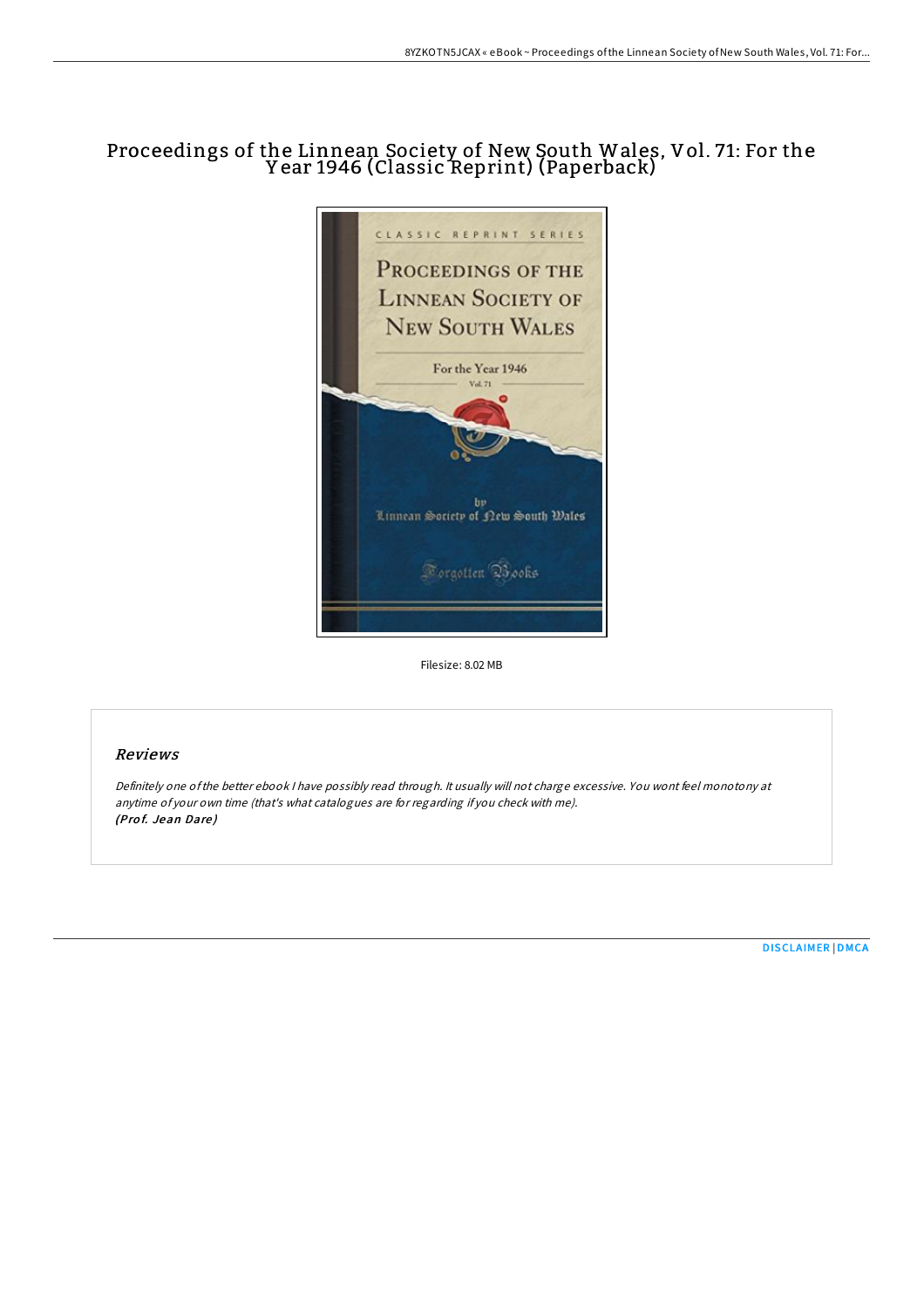# Proceedings of the Linnean Society of New South Wales, Vol. 71: For the Y ear 1946 (Classic Reprint) (Paperback)



Filesize: 8.02 MB

## Reviews

Definitely one ofthe better ebook <sup>I</sup> have possibly read through. It usually will not charge excessive. You wont feel monotony at anytime of your own time (that's what catalogues are for regarding if you check with me). (Prof. Jean Dare)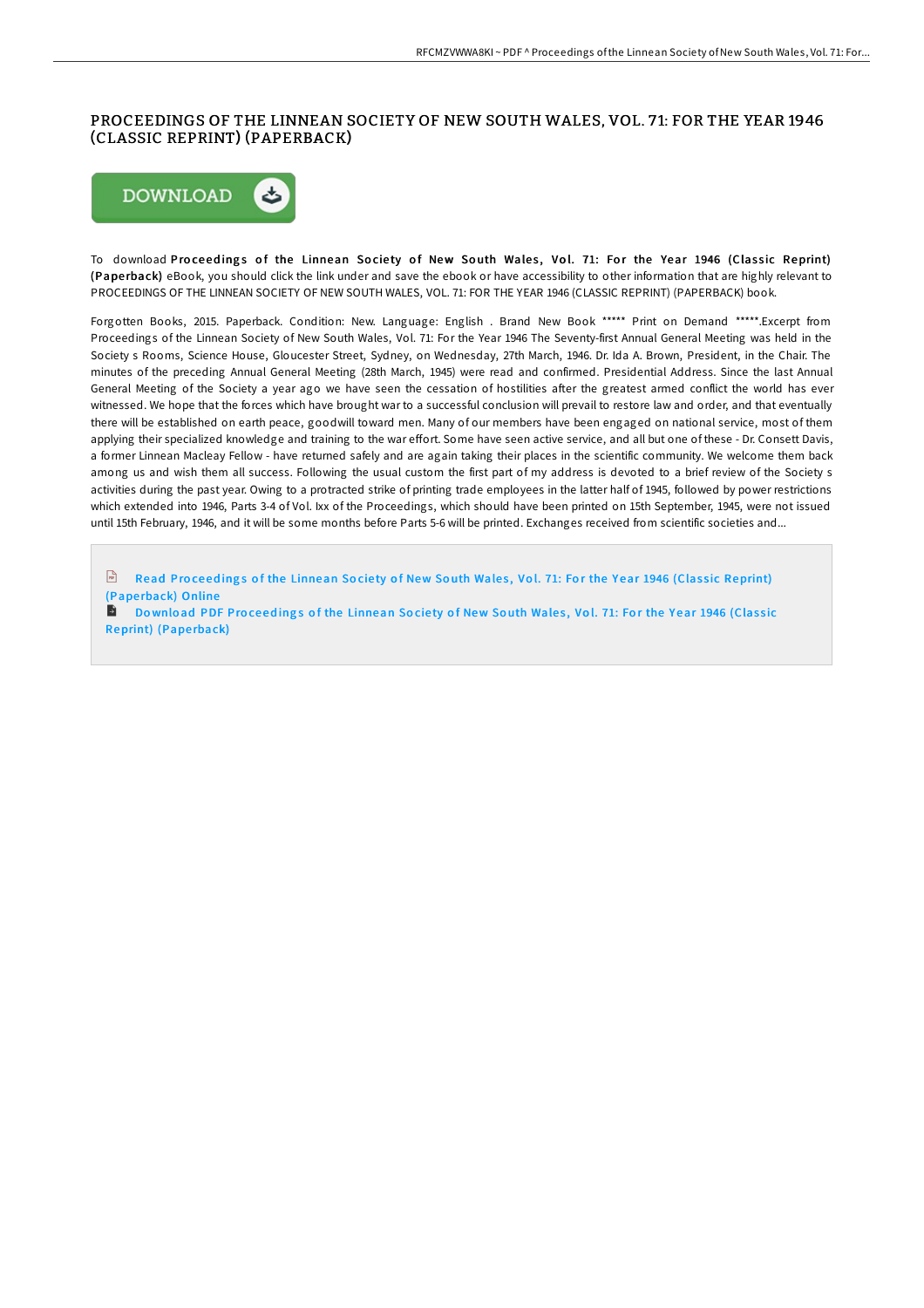# PROCEEDINGS OF THE LINNEAN SOCIETY OF NEW SOUTH WALES, VOL. 71: FOR THE YEAR 1946 (CLASSIC REPRINT) (PAPERBACK)



To download Proceedings of the Linnean Society of New South Wales, Vol. 71: For the Year 1946 (Classic Reprint) (Pape rback) eBook, you should click the link under and save the ebook or have accessibility to other information that are highly relevant to PROCEEDINGS OF THE LINNEAN SOCIETY OF NEW SOUTH WALES, VOL. 71: FOR THE YEAR 1946 (CLASSIC REPRINT) (PAPERBACK) book.

Forgotten Books, 2015. Paperback. Condition: New. Language: English . Brand New Book \*\*\*\*\* Print on Demand \*\*\*\*\*.Excerpt from Proceedings of the Linnean Society of New South Wales, Vol. 71: For the Year 1946 The Seventy-first Annual General Meeting was held in the Society s Rooms, Science House, Gloucester Street, Sydney, on Wednesday, 27th March, 1946. Dr. Ida A. Brown, President, in the Chair. The minutes of the preceding Annual General Meeting (28th March, 1945) were read and confirmed. Presidential Address. Since the last Annual General Meeting of the Society a year ago we have seen the cessation of hostilities after the greatest armed conflict the world has ever witnessed. We hope that the forces which have brought war to a successful conclusion will prevail to restore law and order, and that eventually there will be established on earth peace, goodwill toward men. Many of our members have been engaged on national service, most of them applying their specialized knowledge and training to the war effort. Some have seen active service, and all but one of these - Dr. Consett Davis, a former Linnean Macleay Fellow - have returned safely and are again taking their places in the scientific community. We welcome them back among us and wish them all success. Following the usual custom the first part of my address is devoted to a brief review of the Society s activities during the past year. Owing to a protracted strike of printing trade employees in the latter half of 1945, followed by power restrictions which extended into 1946, Parts 3-4 of Vol. Ixx of the Proceedings, which should have been printed on 15th September, 1945, were not issued until 15th February, 1946, and it will be some months before Parts 5-6 will be printed. Exchanges received from scientific societies and...

 $\left| \frac{1}{100} \right|$ Read Proceedings of the Linnean Society of New South Wales, Vol. 71: For the Year 1946 (Classic [Reprint\)](http://almighty24.tech/proceedings-of-the-linnean-society-of-new-south--2.html) (Pape rback) Online

В Download PDF Proceedings of the Linnean Society of New South Wales, Vol. 71: For the Year 1946 (Classic [Reprint\)](http://almighty24.tech/proceedings-of-the-linnean-society-of-new-south--2.html) (Paperback)